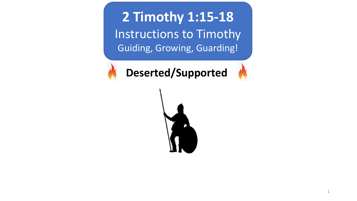**2 Timothy 1:15-18** Instructions to Timothy Guiding, Growing, Guarding!



**Deserted/Supported**

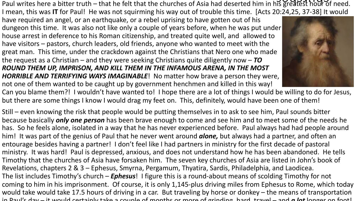Paul writes here a bitter truth – that he felt that the churches of Asia had deserted him in his greatest hour of need. I mean, this was **IT** for Paul! He was not squirming his way out of trouble this time. [Acts 20:24,25, 37-38] It would

have required an angel, or an earthquake, or a rebel uprising to have gotten out of his dungeon this time. It was also not like only a couple of years before, when he was put under house arrest in deference to his Roman citizenship, and treated quite well, and allowed to have visitors – pastors, church leaders, old friends, anyone who wanted to meet with the great man. This time, under the crackdown against the Christians that Nero one who made the request as a Christian – and they were seeking Christians quite diligently now – *TO ROUND THEM UP, IMPRISON, AND KILL THEM IN THE INFAMOUS ARENA, IN THE MOST HORRIBLE AND TERRIFYING WAYS IMAGINABLE*! No matter how brave a person they were, not one of them wanted to be caught up by government henchmen and killed in this way!



Can you blame them?! I wouldn't have wanted to! I hope there are a lot of things I would be willing to do for Jesus, but there are some things I know I would drag my feet on. This, definitely, would have been one of them!

Still – even knowing the risk that people would be putting themselves in to ask to see him, Paul sounds bitter because basically *only one person* has been brave enough to come and see him and to meet some of the needs he has. So he feels alone, isolated in a way that he has never experienced before. Paul always had had people around him! It was part of the genius of Paul that he never went around *alone,* but always had a partner, and often an entourage besides having a partner! I don't feel like I had partners in ministry for the first decade of pastoral ministry. It was hard! Paul is depressed, anxious, and does not understand how he has been abandoned. He tells Timothy that the churches of Asia have forsaken him. The seven key churches of Asia are listed in John's book of Revelations, chapters 2 & 3 – Ephesus, Smyrna, Pergamum, Thyatira, Sardis, Philadelphia, and Laodicea. The list includes Timothy's church – *Ephesus*! I figure this is a round-about means of scolding Timothy for not coming to him in his imprisonment. Of course, it is only 1,145-plus driving miles from Ephesus to Rome, which today would take would take 17.5 hours of driving in a car. But traveling by horse or donkey – the means of transportation in Paul's day – it would certainly take a couple of months or more of grinding, hard, travel – and *a lot* longer on foot!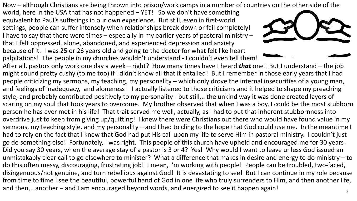Now – although Christians are being thrown into prison/work camps in a number of countries on the other side of the

world, here in the USA that has not happened – YET! So we don't have something equivalent to Paul's sufferings in our own experience. But still, even in first-world settings, people can suffer intensely when relationships break down or fail completely! I have to say that there were times – especially in my earlier years of pastoral ministry – that I felt oppressed, alone, abandoned, and experienced depression and anxiety because of it. I was 25 or 26 years old and going to the doctor for what felt like heart palpitations! The people in my churches wouldn't understand - I couldn't even tell them!



After all, pastors only work one day a week – right? How many times have I heard *that* one! But I understand – the job might sound pretty cushy (to me too) if I didn't know all that it entailed! But I remember in those early years that I had people criticizing my sermons, my teaching, my personality – which only drove the internal insecurities of a young man, and feelings of inadequacy, and aloneness! I actually listened to those criticisms and it helped to shape my preaching style, and probably contributed positively to my personality - but still,.. the unkind way it was done created layers of scaring on my soul that took years to overcome. My brother observed that when I was a boy, I could be the most stubborn person he has ever met in his life! That trait served me well, actually, as I had to put that inherent stubbornness into overdrive just to keep from giving up/quitting! I knew there were Christians out there who would have found value in my sermons, my teaching style, and my personality – and I had to cling to the hope that God could use me. In the meantime I had to rely on the fact that I knew that God had put His call upon my life to serve Him in pastoral ministry. I couldn't just go do something else! Fortunately, I was right. This people of this church have upheld and encouraged me for 30 years! Did you say 30 years, when the average stay of a pastor is 3 or 4? Yes! Why would I want to leave unless God issued an unmistakably clear call to go elsewhere to minister? What a difference that makes in desire and energy to do ministry – to do this often messy, discouraging, frustrating job! I mean, I'm working with people! People can be troubled, two-faced, disingenuous/not genuine, and turn rebellious against God! It is devastating to see! But I can continue in my role because from time to time I see the beautiful, powerful hand of God in one life who truly surrenders to Him, and then another life, and then,.. another – and I am encouraged beyond words, and energized to see it happen again!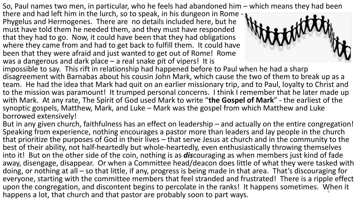So, Paul names two men, in particular, who he feels had abandoned him – which means they had been

there and had left him in the lurch, so to speak, in his dungeon in Rome -  $\bullet$ <br>Phygelus and Hermogenes. There are no details included here, but he must have told them he needed them, and they must have responded that they had to go. Now, it could have been that they had obligations where they came from and had to get back to fulfill them. It could have been that they were afraid and just wanted to get out of Rome! Rome was a dangerous and dark place – a real snake pit of vipers! It is



impossible to say. This rift in relationship had happened before to Paul when he had a sharp disagreement with Barnabas about his cousin John Mark, which cause the two of them to break up as a team. He had the idea that Mark had quit on an earlier missionary trip, and to Paul, loyalty to Christ and to the mission was paramount! It trumped personal concerns. I think I remember that he later made up with Mark. At any rate, The Spirit of God used Mark to write "**the Gospel of Mark**" - the earliest of the synoptic gospels, Matthew, Mark, and Luke – Mark was the gospel from which Matthew and Luke borrowed extensively!

But in any given church, faithfulness has an effect on leadership – and actually on the entire congregation! Speaking from experience, nothing encourages a pastor more than leaders and lay people in the church that prioritize the purposes of God in their lives – that serve Jesus at church and in the community to the best of their ability, not half-heartedly but whole-heartedly, even enthusiastically throwing themselves into it! But on the other side of the coin, nothing is as *dis*couraging as when members just kind of fade away, disengage, disappear. Or when a Committee head/deacon does little of what they were tasked with doing, or nothing at all – so that little, if any, progress is being made in that area. That's discouraging for everyone, starting with the committee members that feel stranded and frustrated! There is a ripple effect upon the congregation, and discontent begins to percolate in the ranks! It happens sometimes. When it happens a lot, that church and that pastor are probably soon to part ways. <sup>4</sup>